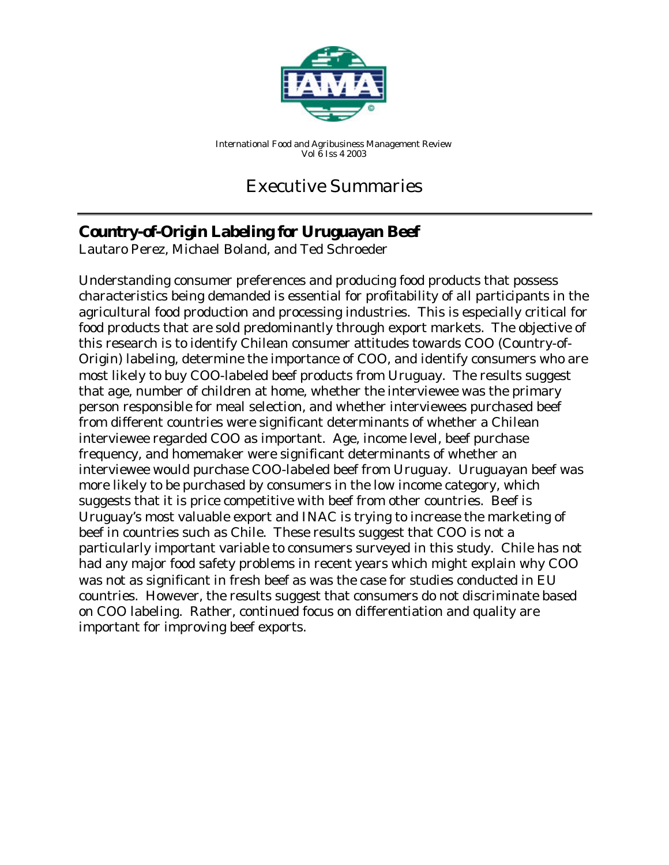

*International Food and Agribusiness Management Review Vol 6 Iss 4 2003*

# Executive Summaries

## **Country-of-Origin Labeling for Uruguayan Beef**

*Lautaro Perez, Michael Boland, and Ted Schroeder*

Understanding consumer preferences and producing food products that possess characteristics being demanded is essential for profitability of all participants in the agricultural food production and processing industries. This is especially critical for food products that are sold predominantly through export markets. The objective of this research is to identify Chilean consumer attitudes towards COO (Country-of-Origin) labeling, determine the importance of COO, and identify consumers who are most likely to buy COO-labeled beef products from Uruguay. The results suggest that age, number of children at home, whether the interviewee was the primary person responsible for meal selection, and whether interviewees purchased beef from different countries were significant determinants of whether a Chilean interviewee regarded COO as important. Age, income level, beef purchase frequency, and homemaker were significant determinants of whether an interviewee would purchase COO-labeled beef from Uruguay. Uruguayan beef was more likely to be purchased by consumers in the low income category, which suggests that it is price competitive with beef from other countries. Beef is Uruguay's most valuable export and INAC is trying to increase the marketing of beef in countries such as Chile. These results suggest that COO is not a particularly important variable to consumers surveyed in this study. Chile has not had any major food safety problems in recent years which might explain why COO was not as significant in fresh beef as was the case for studies conducted in EU countries. However, the results suggest that consumers do not discriminate based on COO labeling. Rather, continued focus on differentiation and quality are important for improving beef exports.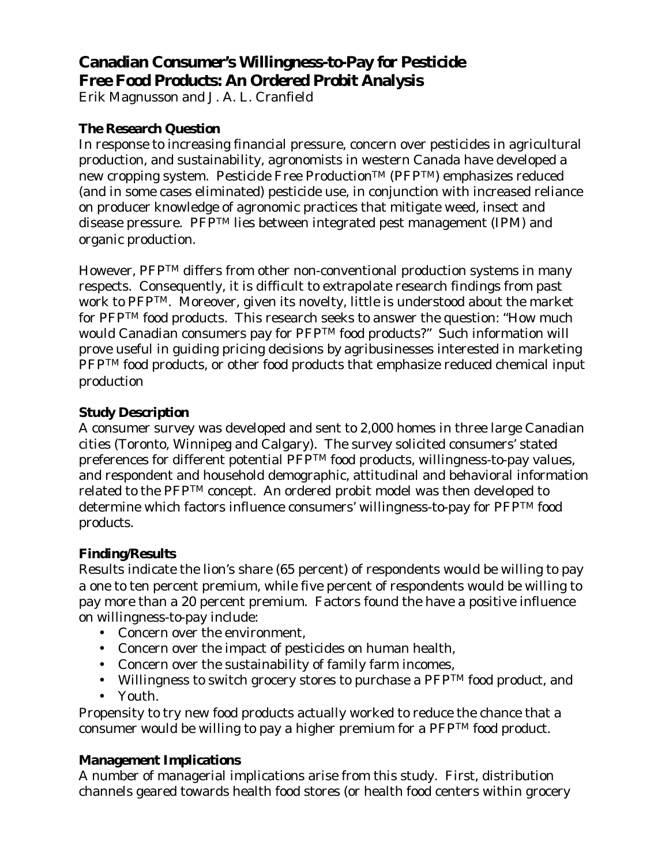## **Canadian Consumer's Willingness-to-Pay for Pesticide Free Food Products: An Ordered Probit Analysis**

*Erik Magnusson and J. A. L. Cranfield*

#### **The Research Question**

In response to increasing financial pressure, concern over pesticides in agricultural production, and sustainability, agronomists in western Canada have developed a new cropping system. Pesticide Free Production™ (PFP™) emphasizes reduced (and in some cases eliminated) pesticide use, in conjunction with increased reliance on producer knowledge of agronomic practices that mitigate weed, insect and disease pressure. PFPTM lies between integrated pest management (IPM) and organic production.

However, PFPTM differs from other non-conventional production systems in many respects. Consequently, it is difficult to extrapolate research findings from past work to PFPTM. Moreover, given its novelty, little is understood about the market for PFPTM food products. This research seeks to answer the question: "How much would Canadian consumers pay for PFPTM food products?" Such information will prove useful in guiding pricing decisions by agribusinesses interested in marketing PFP<sup>TM</sup> food products, or other food products that emphasize reduced chemical input production

#### **Study Description**

A consumer survey was developed and sent to 2,000 homes in three large Canadian cities (Toronto, Winnipeg and Calgary). The survey solicited consumers' stated preferences for different potential PFPTM food products, willingness-to-pay values, and respondent and household demographic, attitudinal and behavioral information related to the PFPTM concept. An ordered probit model was then developed to determine which factors influence consumers' willingness-to-pay for PFPTM food products.

#### **Finding/Results**

Results indicate the lion's share (65 percent) of respondents would be willing to pay a one to ten percent premium, while five percent of respondents would be willing to pay more than a 20 percent premium. Factors found the have a positive influence on willingness-to-pay include:

- Concern over the environment,
- Concern over the impact of pesticides on human health,
- Concern over the sustainability of family farm incomes,
- Willingness to switch grocery stores to purchase a  $PFP^{TM}$  food product, and
- Youth.

Propensity to try new food products actually worked to reduce the chance that a consumer would be willing to pay a higher premium for a PFPTM food product.

#### **Management Implications**

A number of managerial implications arise from this study. First, distribution channels geared towards health food stores (or health food centers within grocery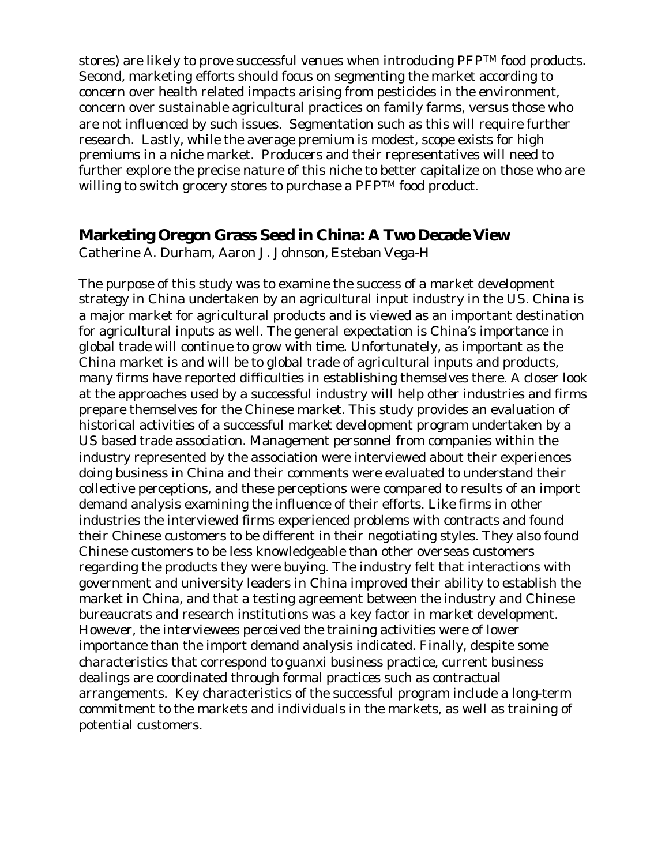stores) are likely to prove successful venues when introducing PFPTM food products. Second, marketing efforts should focus on segmenting the market according to concern over health related impacts arising from pesticides in the environment, concern over sustainable agricultural practices on family farms, versus those who are not influenced by such issues. Segmentation such as this will require further research. Lastly, while the average premium is modest, scope exists for high premiums in a niche market. Producers and their representatives will need to further explore the precise nature of this niche to better capitalize on those who are willing to switch grocery stores to purchase a PFPTM food product.

#### **Marketing Oregon Grass Seed in China: A Two Decade View**

*Catherine A. Durham, Aaron J. Johnson, Esteban Vega-H*

The purpose of this study was to examine the success of a market development strategy in China undertaken by an agricultural input industry in the US. China is a major market for agricultural products and is viewed as an important destination for agricultural inputs as well. The general expectation is China's importance in global trade will continue to grow with time. Unfortunately, as important as the China market is and will be to global trade of agricultural inputs and products, many firms have reported difficulties in establishing themselves there. A closer look at the approaches used by a successful industry will help other industries and firms prepare themselves for the Chinese market. This study provides an evaluation of historical activities of a successful market development program undertaken by a US based trade association. Management personnel from companies within the industry represented by the association were interviewed about their experiences doing business in China and their comments were evaluated to understand their collective perceptions, and these perceptions were compared to results of an import demand analysis examining the influence of their efforts. Like firms in other industries the interviewed firms experienced problems with contracts and found their Chinese customers to be different in their negotiating styles. They also found Chinese customers to be less knowledgeable than other overseas customers regarding the products they were buying. The industry felt that interactions with government and university leaders in China improved their ability to establish the market in China, and that a testing agreement between the industry and Chinese bureaucrats and research institutions was a key factor in market development. However, the interviewees perceived the training activities were of lower importance than the import demand analysis indicated. Finally, despite some characteristics that correspond to guanxi business practice, current business dealings are coordinated through formal practices such as contractual arrangements. Key characteristics of the successful program include a long-term commitment to the markets and individuals in the markets, as well as training of potential customers.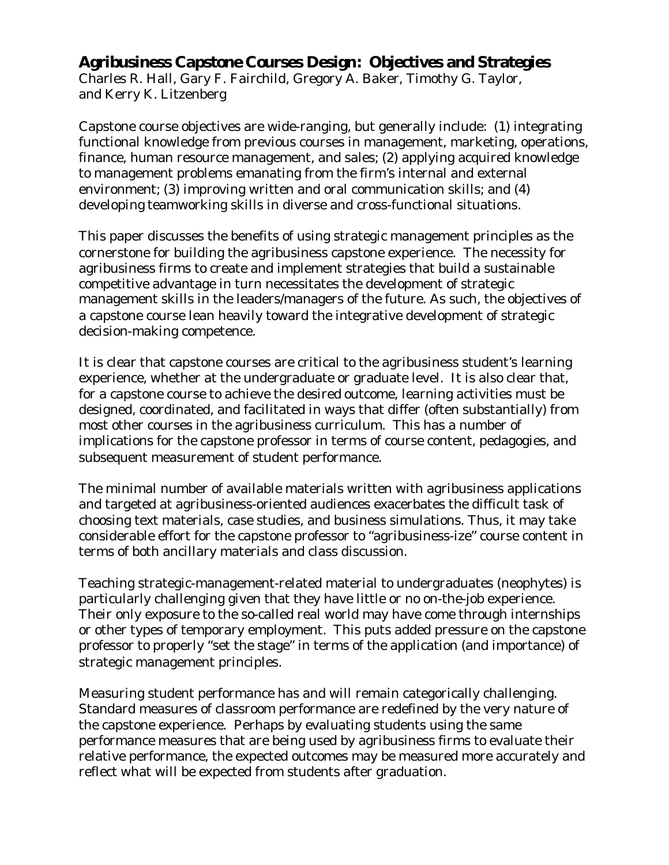### **Agribusiness Capstone Courses Design: Objectives and Strategies**

*Charles R. Hall, Gary F. Fairchild, Gregory A. Baker, Timothy G. Taylor, and Kerry K. Litzenberg*

Capstone course objectives are wide-ranging, but generally include: (1) integrating functional knowledge from previous courses in management, marketing, operations, finance, human resource management, and sales; (2) applying acquired knowledge to management problems emanating from the firm's internal and external environment; (3) improving written and oral communication skills; and (4) developing teamworking skills in diverse and cross-functional situations.

This paper discusses the benefits of using strategic management principles as the cornerstone for building the agribusiness capstone experience. The necessity for agribusiness firms to create and implement strategies that build a sustainable competitive advantage in turn necessitates the development of strategic management skills in the leaders/managers of the future. As such, the objectives of a capstone course lean heavily toward the integrative development of strategic decision-making competence.

It is clear that capstone courses are critical to the agribusiness student's learning experience, whether at the undergraduate or graduate level. It is also clear that, for a capstone course to achieve the desired outcome, learning activities must be designed, coordinated, and facilitated in ways that differ (often substantially) from most other courses in the agribusiness curriculum. This has a number of implications for the capstone professor in terms of course content, pedagogies, and subsequent measurement of student performance.

The minimal number of available materials written with agribusiness applications and targeted at agribusiness-oriented audiences exacerbates the difficult task of choosing text materials, case studies, and business simulations. Thus, it may take considerable effort for the capstone professor to "agribusiness-ize" course content in terms of both ancillary materials and class discussion.

Teaching strategic-management-related material to undergraduates (neophytes) is particularly challenging given that they have little or no on-the-job experience. Their only exposure to the so-called real world may have come through internships or other types of temporary employment. This puts added pressure on the capstone professor to properly "set the stage" in terms of the application (and importance) of strategic management principles.

Measuring student performance has and will remain categorically challenging. Standard measures of classroom performance are redefined by the very nature of the capstone experience. Perhaps by evaluating students using the same performance measures that are being used by agribusiness firms to evaluate their relative performance, the expected outcomes may be measured more accurately and reflect what will be expected from students after graduation.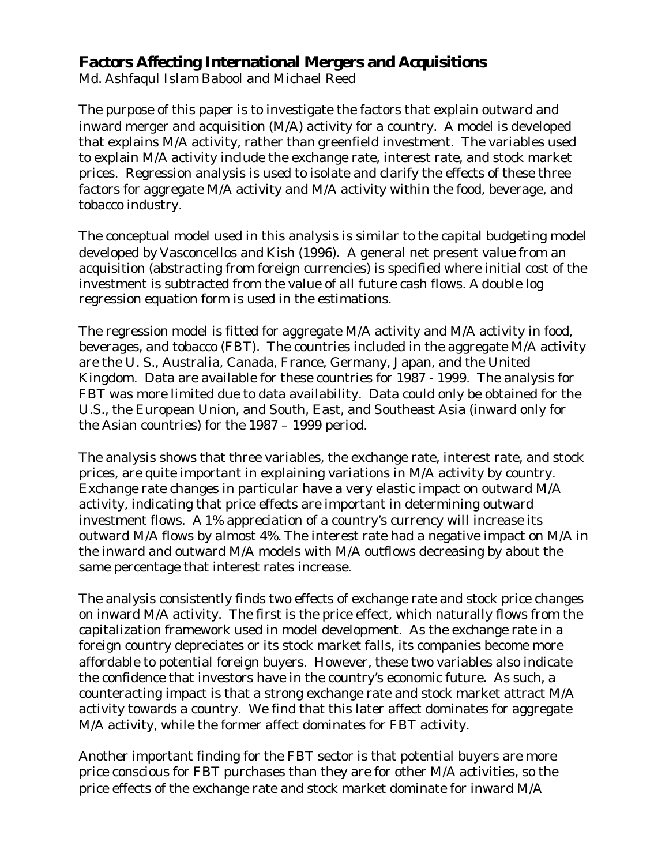### **Factors Affecting International Mergers and Acquisitions**

*Md. Ashfaqul Islam Babool and Michael Reed*

The purpose of this paper is to investigate the factors that explain outward and inward merger and acquisition (M/A) activity for a country. A model is developed that explains M/A activity, rather than greenfield investment. The variables used to explain M/A activity include the exchange rate, interest rate, and stock market prices. Regression analysis is used to isolate and clarify the effects of these three factors for aggregate M/A activity and M/A activity within the food, beverage, and tobacco industry.

The conceptual model used in this analysis is similar to the capital budgeting model developed by Vasconcellos and Kish (1996). A general net present value from an acquisition (abstracting from foreign currencies) is specified where initial cost of the investment is subtracted from the value of all future cash flows. A double log regression equation form is used in the estimations.

The regression model is fitted for aggregate M/A activity and M/A activity in food, beverages, and tobacco (FBT). The countries included in the aggregate M/A activity are the U. S., Australia, Canada, France, Germany, Japan, and the United Kingdom. Data are available for these countries for 1987 - 1999. The analysis for FBT was more limited due to data availability. Data could only be obtained for the U.S., the European Union, and South, East, and Southeast Asia (inward only for the Asian countries) for the 1987 – 1999 period.

The analysis shows that three variables, the exchange rate, interest rate, and stock prices, are quite important in explaining variations in M/A activity by country. Exchange rate changes in particular have a very elastic impact on outward M/A activity, indicating that price effects are important in determining outward investment flows. A 1% appreciation of a country's currency will increase its outward M/A flows by almost 4%. The interest rate had a negative impact on M/A in the inward and outward M/A models with M/A outflows decreasing by about the same percentage that interest rates increase.

The analysis consistently finds two effects of exchange rate and stock price changes on inward M/A activity. The first is the price effect, which naturally flows from the capitalization framework used in model development. As the exchange rate in a foreign country depreciates or its stock market falls, its companies become more affordable to potential foreign buyers. However, these two variables also indicate the confidence that investors have in the country's economic future. As such, a counteracting impact is that a strong exchange rate and stock market attract M/A activity towards a country. We find that this later affect dominates for aggregate M/A activity, while the former affect dominates for FBT activity.

Another important finding for the FBT sector is that potential buyers are more price conscious for FBT purchases than they are for other M/A activities, so the price effects of the exchange rate and stock market dominate for inward M/A